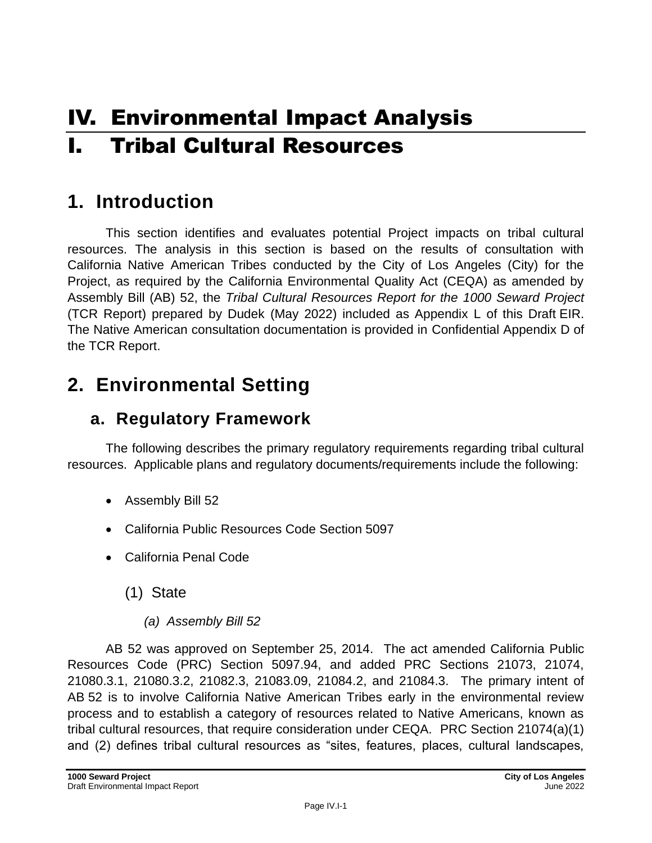# IV. Environmental Impact Analysis I. Tribal Cultural Resources

# **1. Introduction**

This section identifies and evaluates potential Project impacts on tribal cultural resources. The analysis in this section is based on the results of consultation with California Native American Tribes conducted by the City of Los Angeles (City) for the Project, as required by the California Environmental Quality Act (CEQA) as amended by Assembly Bill (AB) 52, the *Tribal Cultural Resources Report for the 1000 Seward Project* (TCR Report) prepared by Dudek (May 2022) included as Appendix L of this Draft EIR. The Native American consultation documentation is provided in Confidential Appendix D of the TCR Report.

# **2. Environmental Setting**

## **a. Regulatory Framework**

The following describes the primary regulatory requirements regarding tribal cultural resources. Applicable plans and regulatory documents/requirements include the following:

- Assembly Bill 52
- California Public Resources Code Section 5097
- California Penal Code
	- (1) State
		- *(a) Assembly Bill 52*

AB 52 was approved on September 25, 2014. The act amended California Public Resources Code (PRC) Section 5097.94, and added PRC Sections 21073, 21074, 21080.3.1, 21080.3.2, 21082.3, 21083.09, 21084.2, and 21084.3. The primary intent of AB 52 is to involve California Native American Tribes early in the environmental review process and to establish a category of resources related to Native Americans, known as tribal cultural resources, that require consideration under CEQA. PRC Section 21074(a)(1) and (2) defines tribal cultural resources as "sites, features, places, cultural landscapes,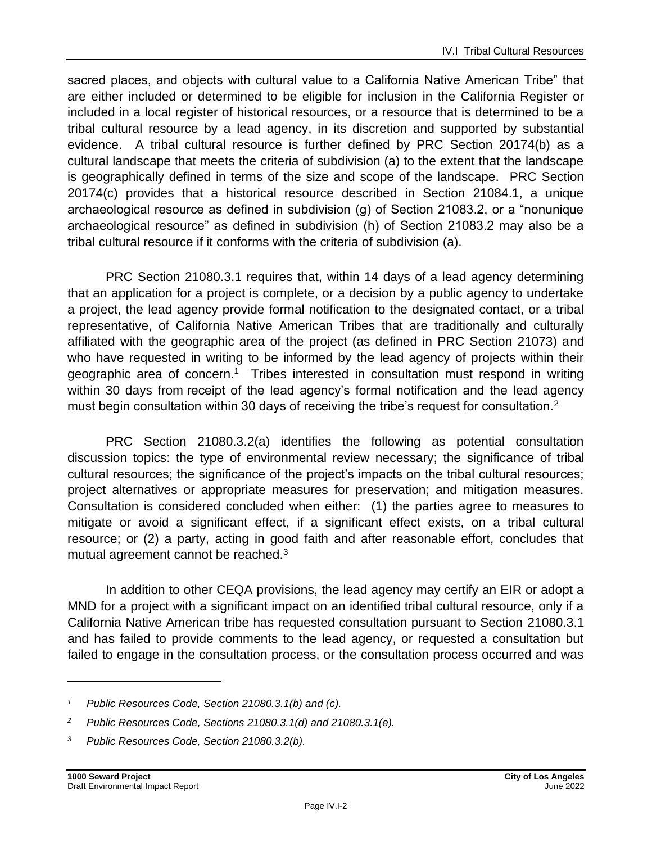sacred places, and objects with cultural value to a California Native American Tribe" that are either included or determined to be eligible for inclusion in the California Register or included in a local register of historical resources, or a resource that is determined to be a tribal cultural resource by a lead agency, in its discretion and supported by substantial evidence. A tribal cultural resource is further defined by PRC Section 20174(b) as a cultural landscape that meets the criteria of subdivision (a) to the extent that the landscape is geographically defined in terms of the size and scope of the landscape. PRC Section 20174(c) provides that a historical resource described in Section 21084.1, a unique archaeological resource as defined in subdivision (g) of Section 21083.2, or a "nonunique archaeological resource" as defined in subdivision (h) of Section 21083.2 may also be a tribal cultural resource if it conforms with the criteria of subdivision (a).

PRC Section 21080.3.1 requires that, within 14 days of a lead agency determining that an application for a project is complete, or a decision by a public agency to undertake a project, the lead agency provide formal notification to the designated contact, or a tribal representative, of California Native American Tribes that are traditionally and culturally affiliated with the geographic area of the project (as defined in PRC Section 21073) and who have requested in writing to be informed by the lead agency of projects within their geographic area of concern.<sup>1</sup> Tribes interested in consultation must respond in writing within 30 days from receipt of the lead agency's formal notification and the lead agency must begin consultation within 30 days of receiving the tribe's request for consultation.<sup>2</sup>

PRC Section 21080.3.2(a) identifies the following as potential consultation discussion topics: the type of environmental review necessary; the significance of tribal cultural resources; the significance of the project's impacts on the tribal cultural resources; project alternatives or appropriate measures for preservation; and mitigation measures. Consultation is considered concluded when either: (1) the parties agree to measures to mitigate or avoid a significant effect, if a significant effect exists, on a tribal cultural resource; or (2) a party, acting in good faith and after reasonable effort, concludes that mutual agreement cannot be reached.<sup>3</sup>

In addition to other CEQA provisions, the lead agency may certify an EIR or adopt a MND for a project with a significant impact on an identified tribal cultural resource, only if a California Native American tribe has requested consultation pursuant to Section 21080.3.1 and has failed to provide comments to the lead agency, or requested a consultation but failed to engage in the consultation process, or the consultation process occurred and was

*<sup>1</sup> Public Resources Code, Section 21080.3.1(b) and (c).*

*<sup>2</sup> Public Resources Code, Sections 21080.3.1(d) and 21080.3.1(e).*

*<sup>3</sup> Public Resources Code, Section 21080.3.2(b).*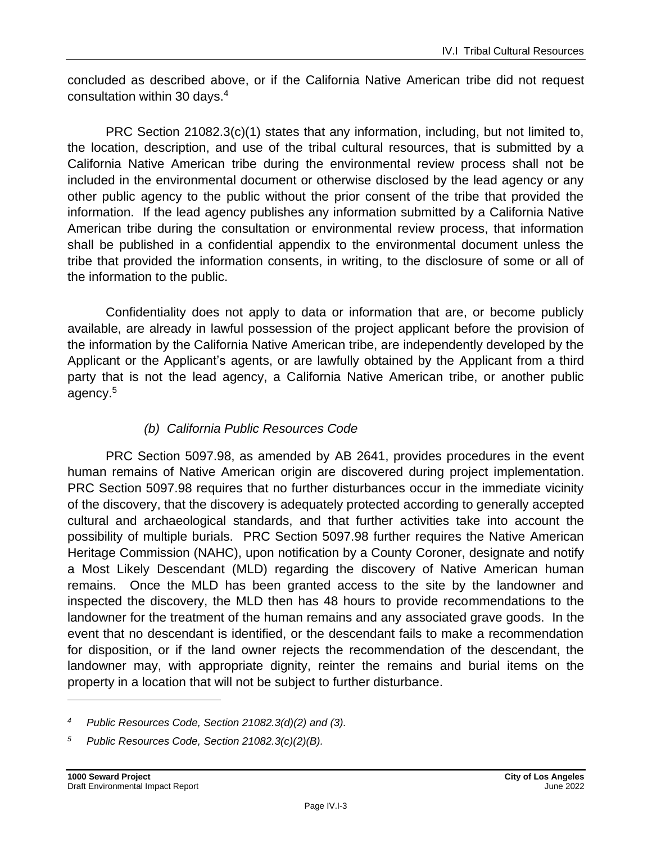concluded as described above, or if the California Native American tribe did not request consultation within 30 days.<sup>4</sup>

PRC Section 21082.3(c)(1) states that any information, including, but not limited to, the location, description, and use of the tribal cultural resources, that is submitted by a California Native American tribe during the environmental review process shall not be included in the environmental document or otherwise disclosed by the lead agency or any other public agency to the public without the prior consent of the tribe that provided the information. If the lead agency publishes any information submitted by a California Native American tribe during the consultation or environmental review process, that information shall be published in a confidential appendix to the environmental document unless the tribe that provided the information consents, in writing, to the disclosure of some or all of the information to the public.

Confidentiality does not apply to data or information that are, or become publicly available, are already in lawful possession of the project applicant before the provision of the information by the California Native American tribe, are independently developed by the Applicant or the Applicant's agents, or are lawfully obtained by the Applicant from a third party that is not the lead agency, a California Native American tribe, or another public agency.<sup>5</sup>

### *(b) California Public Resources Code*

PRC Section 5097.98, as amended by AB 2641, provides procedures in the event human remains of Native American origin are discovered during project implementation. PRC Section 5097.98 requires that no further disturbances occur in the immediate vicinity of the discovery, that the discovery is adequately protected according to generally accepted cultural and archaeological standards, and that further activities take into account the possibility of multiple burials. PRC Section 5097.98 further requires the Native American Heritage Commission (NAHC), upon notification by a County Coroner, designate and notify a Most Likely Descendant (MLD) regarding the discovery of Native American human remains. Once the MLD has been granted access to the site by the landowner and inspected the discovery, the MLD then has 48 hours to provide recommendations to the landowner for the treatment of the human remains and any associated grave goods. In the event that no descendant is identified, or the descendant fails to make a recommendation for disposition, or if the land owner rejects the recommendation of the descendant, the landowner may, with appropriate dignity, reinter the remains and burial items on the property in a location that will not be subject to further disturbance.

*<sup>4</sup> Public Resources Code, Section 21082.3(d)(2) and (3).*

*<sup>5</sup> Public Resources Code, Section 21082.3(c)(2)(B).*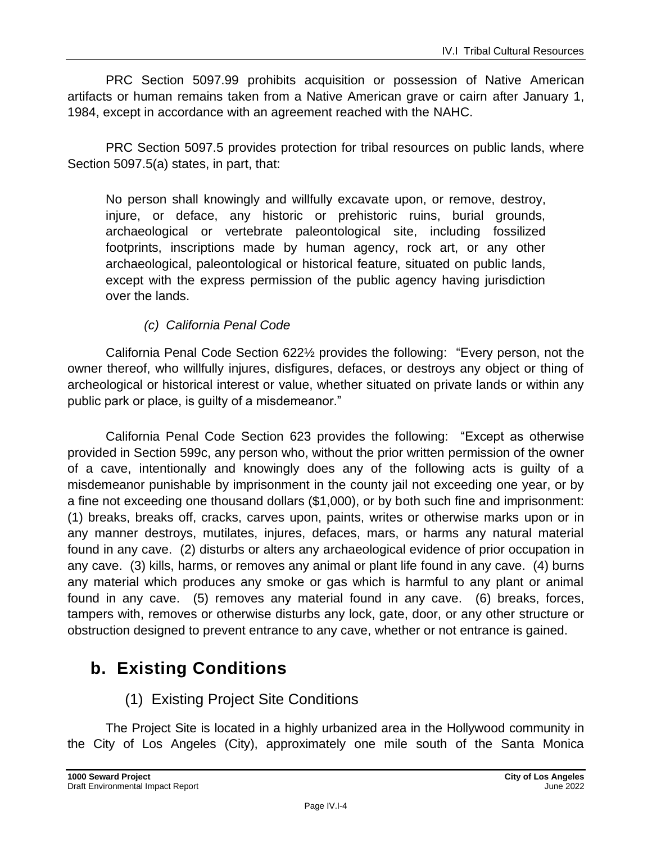PRC Section 5097.99 prohibits acquisition or possession of Native American artifacts or human remains taken from a Native American grave or cairn after January 1, 1984, except in accordance with an agreement reached with the NAHC.

PRC Section 5097.5 provides protection for tribal resources on public lands, where Section 5097.5(a) states, in part, that:

No person shall knowingly and willfully excavate upon, or remove, destroy, injure, or deface, any historic or prehistoric ruins, burial grounds, archaeological or vertebrate paleontological site, including fossilized footprints, inscriptions made by human agency, rock art, or any other archaeological, paleontological or historical feature, situated on public lands, except with the express permission of the public agency having jurisdiction over the lands.

#### *(c) California Penal Code*

California Penal Code Section 622½ provides the following: "Every person, not the owner thereof, who willfully injures, disfigures, defaces, or destroys any object or thing of archeological or historical interest or value, whether situated on private lands or within any public park or place, is guilty of a misdemeanor."

California Penal Code Section 623 provides the following: "Except as otherwise provided in Section 599c, any person who, without the prior written permission of the owner of a cave, intentionally and knowingly does any of the following acts is guilty of a misdemeanor punishable by imprisonment in the county jail not exceeding one year, or by a fine not exceeding one thousand dollars (\$1,000), or by both such fine and imprisonment: (1) breaks, breaks off, cracks, carves upon, paints, writes or otherwise marks upon or in any manner destroys, mutilates, injures, defaces, mars, or harms any natural material found in any cave. (2) disturbs or alters any archaeological evidence of prior occupation in any cave. (3) kills, harms, or removes any animal or plant life found in any cave. (4) burns any material which produces any smoke or gas which is harmful to any plant or animal found in any cave. (5) removes any material found in any cave. (6) breaks, forces, tampers with, removes or otherwise disturbs any lock, gate, door, or any other structure or obstruction designed to prevent entrance to any cave, whether or not entrance is gained.

# **b. Existing Conditions**

### (1) Existing Project Site Conditions

The Project Site is located in a highly urbanized area in the Hollywood community in the City of Los Angeles (City), approximately one mile south of the Santa Monica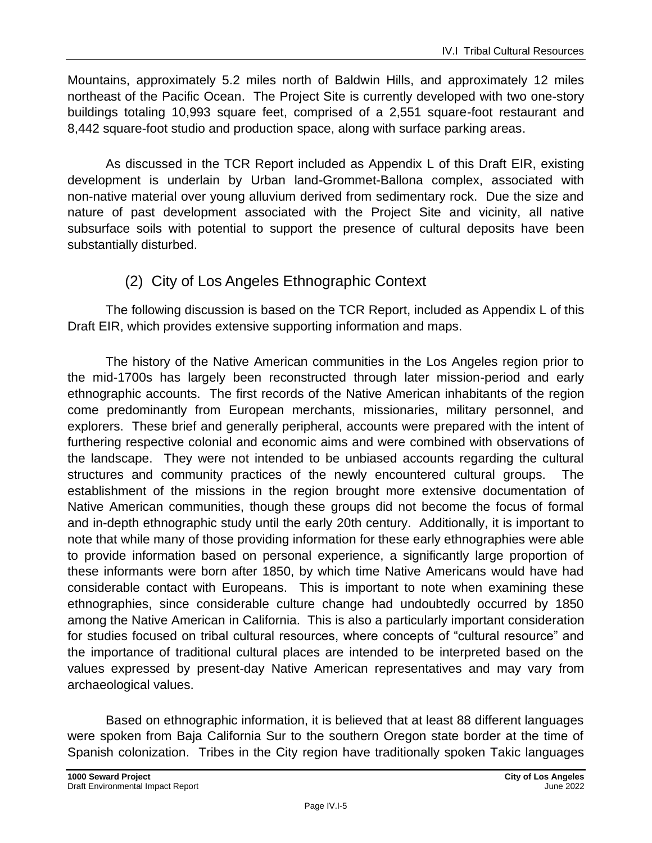Mountains, approximately 5.2 miles north of Baldwin Hills, and approximately 12 miles northeast of the Pacific Ocean. The Project Site is currently developed with two one-story buildings totaling 10,993 square feet, comprised of a 2,551 square-foot restaurant and 8,442 square-foot studio and production space, along with surface parking areas.

As discussed in the TCR Report included as Appendix L of this Draft EIR, existing development is underlain by Urban land-Grommet-Ballona complex, associated with non-native material over young alluvium derived from sedimentary rock. Due the size and nature of past development associated with the Project Site and vicinity, all native subsurface soils with potential to support the presence of cultural deposits have been substantially disturbed.

### (2) City of Los Angeles Ethnographic Context

The following discussion is based on the TCR Report, included as Appendix L of this Draft EIR, which provides extensive supporting information and maps.

The history of the Native American communities in the Los Angeles region prior to the mid-1700s has largely been reconstructed through later mission-period and early ethnographic accounts. The first records of the Native American inhabitants of the region come predominantly from European merchants, missionaries, military personnel, and explorers. These brief and generally peripheral, accounts were prepared with the intent of furthering respective colonial and economic aims and were combined with observations of the landscape. They were not intended to be unbiased accounts regarding the cultural structures and community practices of the newly encountered cultural groups. The establishment of the missions in the region brought more extensive documentation of Native American communities, though these groups did not become the focus of formal and in-depth ethnographic study until the early 20th century. Additionally, it is important to note that while many of those providing information for these early ethnographies were able to provide information based on personal experience, a significantly large proportion of these informants were born after 1850, by which time Native Americans would have had considerable contact with Europeans. This is important to note when examining these ethnographies, since considerable culture change had undoubtedly occurred by 1850 among the Native American in California. This is also a particularly important consideration for studies focused on tribal cultural resources, where concepts of "cultural resource" and the importance of traditional cultural places are intended to be interpreted based on the values expressed by present-day Native American representatives and may vary from archaeological values.

Based on ethnographic information, it is believed that at least 88 different languages were spoken from Baja California Sur to the southern Oregon state border at the time of Spanish colonization. Tribes in the City region have traditionally spoken Takic languages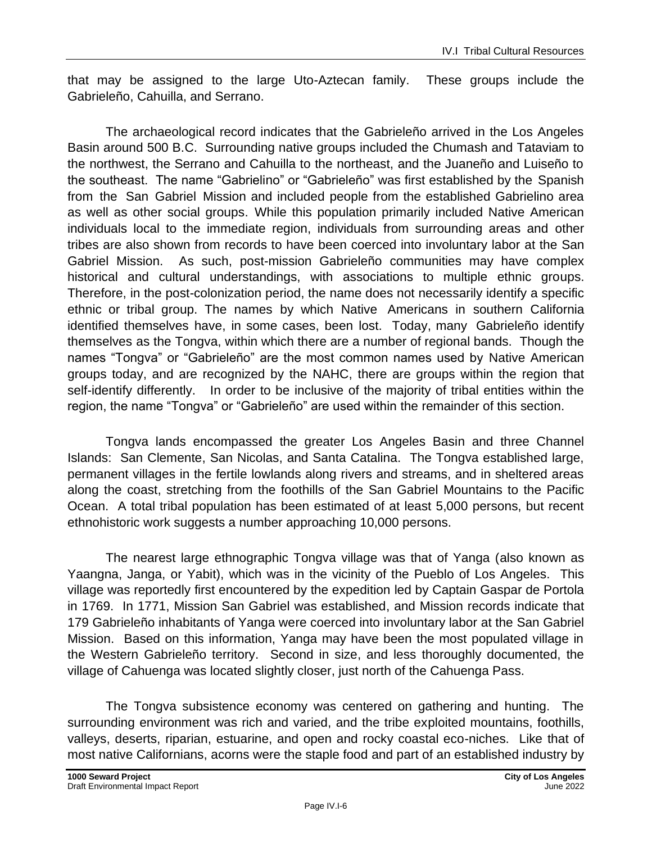that may be assigned to the large Uto-Aztecan family. These groups include the Gabrieleño, Cahuilla, and Serrano.

The archaeological record indicates that the Gabrieleño arrived in the Los Angeles Basin around 500 B.C. Surrounding native groups included the Chumash and Tataviam to the northwest, the Serrano and Cahuilla to the northeast, and the Juaneño and Luiseño to the southeast. The name "Gabrielino" or "Gabrieleño" was first established by the Spanish from the San Gabriel Mission and included people from the established Gabrielino area as well as other social groups. While this population primarily included Native American individuals local to the immediate region, individuals from surrounding areas and other tribes are also shown from records to have been coerced into involuntary labor at the San Gabriel Mission. As such, post-mission Gabrieleño communities may have complex historical and cultural understandings, with associations to multiple ethnic groups. Therefore, in the post-colonization period, the name does not necessarily identify a specific ethnic or tribal group. The names by which Native Americans in southern California identified themselves have, in some cases, been lost. Today, many Gabrieleño identify themselves as the Tongva, within which there are a number of regional bands. Though the names "Tongva" or "Gabrieleño" are the most common names used by Native American groups today, and are recognized by the NAHC, there are groups within the region that self-identify differently. In order to be inclusive of the majority of tribal entities within the region, the name "Tongva" or "Gabrieleño" are used within the remainder of this section.

Tongva lands encompassed the greater Los Angeles Basin and three Channel Islands: San Clemente, San Nicolas, and Santa Catalina. The Tongva established large, permanent villages in the fertile lowlands along rivers and streams, and in sheltered areas along the coast, stretching from the foothills of the San Gabriel Mountains to the Pacific Ocean. A total tribal population has been estimated of at least 5,000 persons, but recent ethnohistoric work suggests a number approaching 10,000 persons.

The nearest large ethnographic Tongva village was that of Yanga (also known as Yaangna, Janga, or Yabit), which was in the vicinity of the Pueblo of Los Angeles. This village was reportedly first encountered by the expedition led by Captain Gaspar de Portola in 1769. In 1771, Mission San Gabriel was established, and Mission records indicate that 179 Gabrieleño inhabitants of Yanga were coerced into involuntary labor at the San Gabriel Mission. Based on this information, Yanga may have been the most populated village in the Western Gabrieleño territory. Second in size, and less thoroughly documented, the village of Cahuenga was located slightly closer, just north of the Cahuenga Pass.

The Tongva subsistence economy was centered on gathering and hunting. The surrounding environment was rich and varied, and the tribe exploited mountains, foothills, valleys, deserts, riparian, estuarine, and open and rocky coastal eco-niches. Like that of most native Californians, acorns were the staple food and part of an established industry by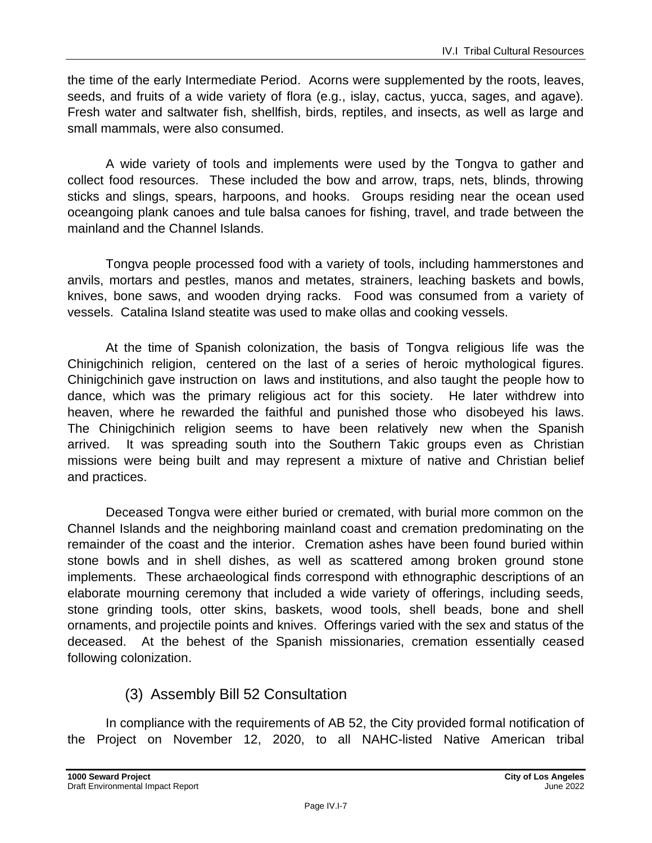the time of the early Intermediate Period. Acorns were supplemented by the roots, leaves, seeds, and fruits of a wide variety of flora (e.g., islay, cactus, yucca, sages, and agave). Fresh water and saltwater fish, shellfish, birds, reptiles, and insects, as well as large and small mammals, were also consumed.

A wide variety of tools and implements were used by the Tongva to gather and collect food resources. These included the bow and arrow, traps, nets, blinds, throwing sticks and slings, spears, harpoons, and hooks. Groups residing near the ocean used oceangoing plank canoes and tule balsa canoes for fishing, travel, and trade between the mainland and the Channel Islands.

Tongva people processed food with a variety of tools, including hammerstones and anvils, mortars and pestles, manos and metates, strainers, leaching baskets and bowls, knives, bone saws, and wooden drying racks. Food was consumed from a variety of vessels. Catalina Island steatite was used to make ollas and cooking vessels.

At the time of Spanish colonization, the basis of Tongva religious life was the Chinigchinich religion, centered on the last of a series of heroic mythological figures. Chinigchinich gave instruction on laws and institutions, and also taught the people how to dance, which was the primary religious act for this society. He later withdrew into heaven, where he rewarded the faithful and punished those who disobeyed his laws. The Chinigchinich religion seems to have been relatively new when the Spanish arrived. It was spreading south into the Southern Takic groups even as Christian missions were being built and may represent a mixture of native and Christian belief and practices.

Deceased Tongva were either buried or cremated, with burial more common on the Channel Islands and the neighboring mainland coast and cremation predominating on the remainder of the coast and the interior. Cremation ashes have been found buried within stone bowls and in shell dishes, as well as scattered among broken ground stone implements. These archaeological finds correspond with ethnographic descriptions of an elaborate mourning ceremony that included a wide variety of offerings, including seeds, stone grinding tools, otter skins, baskets, wood tools, shell beads, bone and shell ornaments, and projectile points and knives. Offerings varied with the sex and status of the deceased. At the behest of the Spanish missionaries, cremation essentially ceased following colonization.

### (3) Assembly Bill 52 Consultation

In compliance with the requirements of AB 52, the City provided formal notification of the Project on November 12, 2020, to all NAHC-listed Native American tribal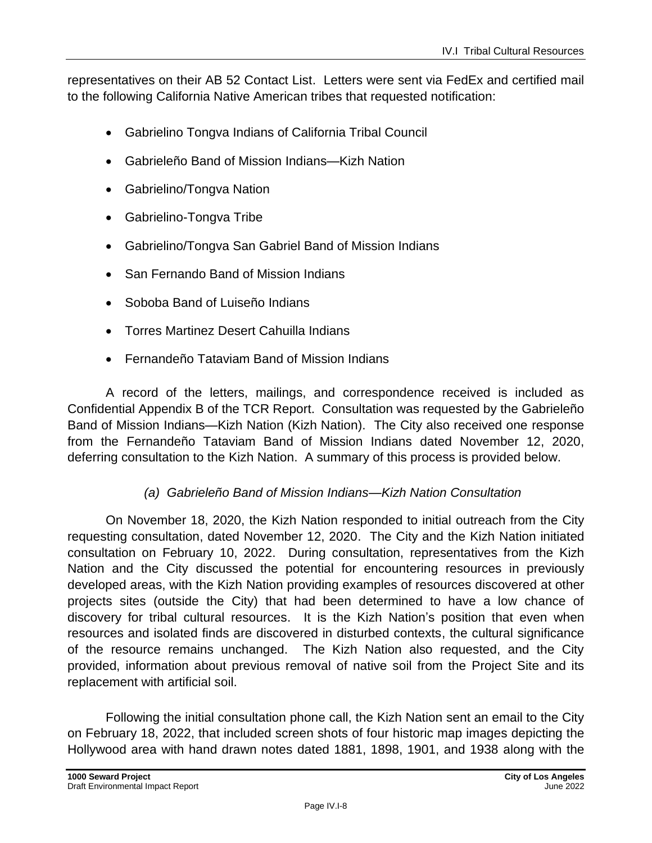representatives on their AB 52 Contact List. Letters were sent via FedEx and certified mail to the following California Native American tribes that requested notification:

- Gabrielino Tongva Indians of California Tribal Council
- Gabrieleño Band of Mission Indians—Kizh Nation
- Gabrielino/Tongva Nation
- Gabrielino-Tongva Tribe
- Gabrielino/Tongva San Gabriel Band of Mission Indians
- San Fernando Band of Mission Indians
- Soboba Band of Luiseño Indians
- Torres Martinez Desert Cahuilla Indians
- Fernandeño Tataviam Band of Mission Indians

A record of the letters, mailings, and correspondence received is included as Confidential Appendix B of the TCR Report. Consultation was requested by the Gabrieleño Band of Mission Indians—Kizh Nation (Kizh Nation). The City also received one response from the Fernandeño Tataviam Band of Mission Indians dated November 12, 2020, deferring consultation to the Kizh Nation. A summary of this process is provided below.

#### *(a) Gabrieleño Band of Mission Indians—Kizh Nation Consultation*

On November 18, 2020, the Kizh Nation responded to initial outreach from the City requesting consultation, dated November 12, 2020. The City and the Kizh Nation initiated consultation on February 10, 2022. During consultation, representatives from the Kizh Nation and the City discussed the potential for encountering resources in previously developed areas, with the Kizh Nation providing examples of resources discovered at other projects sites (outside the City) that had been determined to have a low chance of discovery for tribal cultural resources. It is the Kizh Nation's position that even when resources and isolated finds are discovered in disturbed contexts, the cultural significance of the resource remains unchanged. The Kizh Nation also requested, and the City provided, information about previous removal of native soil from the Project Site and its replacement with artificial soil.

Following the initial consultation phone call, the Kizh Nation sent an email to the City on February 18, 2022, that included screen shots of four historic map images depicting the Hollywood area with hand drawn notes dated 1881, 1898, 1901, and 1938 along with the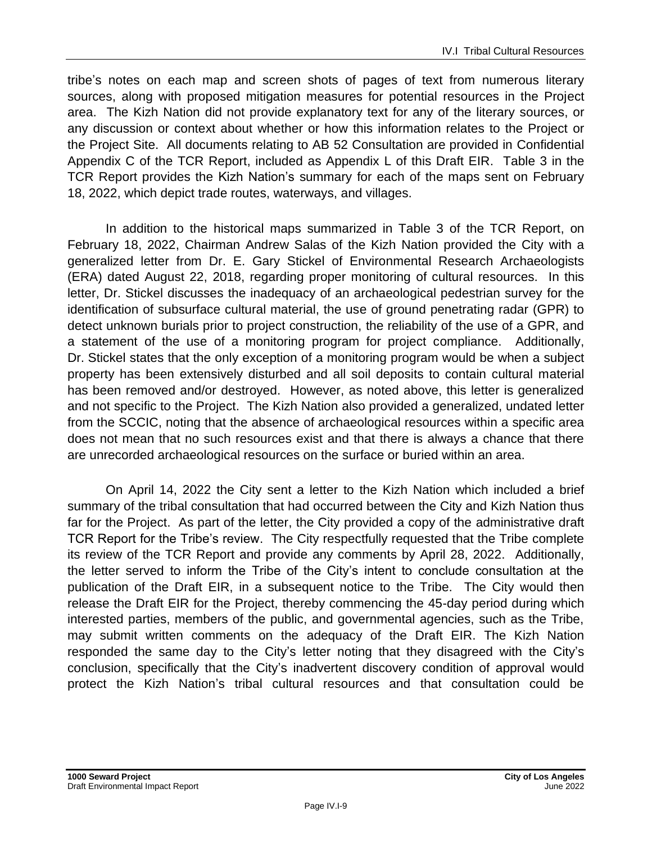tribe's notes on each map and screen shots of pages of text from numerous literary sources, along with proposed mitigation measures for potential resources in the Project area. The Kizh Nation did not provide explanatory text for any of the literary sources, or any discussion or context about whether or how this information relates to the Project or the Project Site. All documents relating to AB 52 Consultation are provided in Confidential Appendix C of the TCR Report, included as Appendix L of this Draft EIR. Table 3 in the TCR Report provides the Kizh Nation's summary for each of the maps sent on February 18, 2022, which depict trade routes, waterways, and villages.

In addition to the historical maps summarized in Table 3 of the TCR Report, on February 18, 2022, Chairman Andrew Salas of the Kizh Nation provided the City with a generalized letter from Dr. E. Gary Stickel of Environmental Research Archaeologists (ERA) dated August 22, 2018, regarding proper monitoring of cultural resources. In this letter, Dr. Stickel discusses the inadequacy of an archaeological pedestrian survey for the identification of subsurface cultural material, the use of ground penetrating radar (GPR) to detect unknown burials prior to project construction, the reliability of the use of a GPR, and a statement of the use of a monitoring program for project compliance. Additionally, Dr. Stickel states that the only exception of a monitoring program would be when a subject property has been extensively disturbed and all soil deposits to contain cultural material has been removed and/or destroyed. However, as noted above, this letter is generalized and not specific to the Project. The Kizh Nation also provided a generalized, undated letter from the SCCIC, noting that the absence of archaeological resources within a specific area does not mean that no such resources exist and that there is always a chance that there are unrecorded archaeological resources on the surface or buried within an area.

On April 14, 2022 the City sent a letter to the Kizh Nation which included a brief summary of the tribal consultation that had occurred between the City and Kizh Nation thus far for the Project. As part of the letter, the City provided a copy of the administrative draft TCR Report for the Tribe's review. The City respectfully requested that the Tribe complete its review of the TCR Report and provide any comments by April 28, 2022. Additionally, the letter served to inform the Tribe of the City's intent to conclude consultation at the publication of the Draft EIR, in a subsequent notice to the Tribe. The City would then release the Draft EIR for the Project, thereby commencing the 45-day period during which interested parties, members of the public, and governmental agencies, such as the Tribe, may submit written comments on the adequacy of the Draft EIR. The Kizh Nation responded the same day to the City's letter noting that they disagreed with the City's conclusion, specifically that the City's inadvertent discovery condition of approval would protect the Kizh Nation's tribal cultural resources and that consultation could be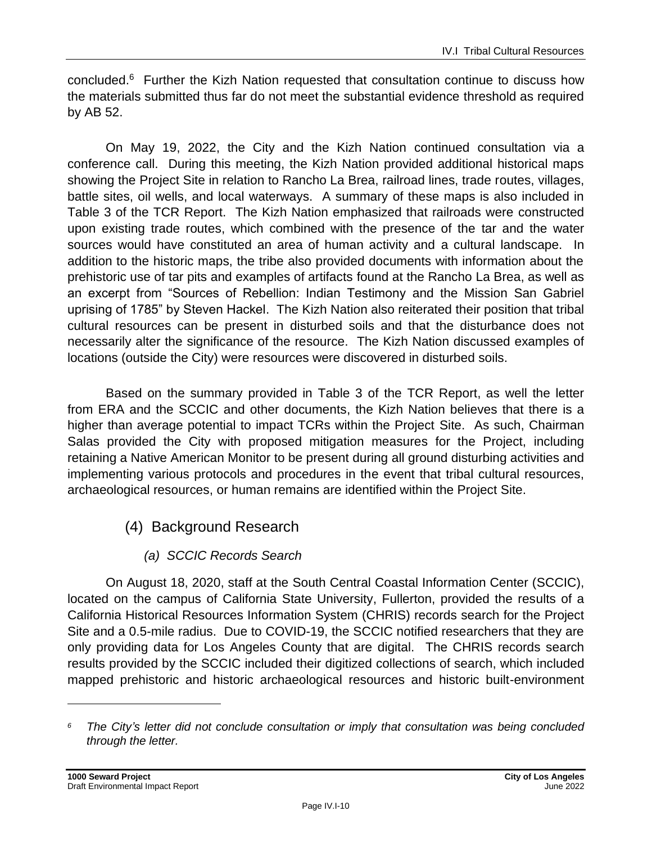concluded.<sup>6</sup> Further the Kizh Nation requested that consultation continue to discuss how the materials submitted thus far do not meet the substantial evidence threshold as required by AB 52.

On May 19, 2022, the City and the Kizh Nation continued consultation via a conference call. During this meeting, the Kizh Nation provided additional historical maps showing the Project Site in relation to Rancho La Brea, railroad lines, trade routes, villages, battle sites, oil wells, and local waterways. A summary of these maps is also included in Table 3 of the TCR Report. The Kizh Nation emphasized that railroads were constructed upon existing trade routes, which combined with the presence of the tar and the water sources would have constituted an area of human activity and a cultural landscape. In addition to the historic maps, the tribe also provided documents with information about the prehistoric use of tar pits and examples of artifacts found at the Rancho La Brea, as well as an excerpt from "Sources of Rebellion: Indian Testimony and the Mission San Gabriel uprising of 1785" by Steven Hackel. The Kizh Nation also reiterated their position that tribal cultural resources can be present in disturbed soils and that the disturbance does not necessarily alter the significance of the resource. The Kizh Nation discussed examples of locations (outside the City) were resources were discovered in disturbed soils.

Based on the summary provided in Table 3 of the TCR Report, as well the letter from ERA and the SCCIC and other documents, the Kizh Nation believes that there is a higher than average potential to impact TCRs within the Project Site. As such, Chairman Salas provided the City with proposed mitigation measures for the Project, including retaining a Native American Monitor to be present during all ground disturbing activities and implementing various protocols and procedures in the event that tribal cultural resources, archaeological resources, or human remains are identified within the Project Site.

- (4) Background Research
	- *(a) SCCIC Records Search*

On August 18, 2020, staff at the South Central Coastal Information Center (SCCIC), located on the campus of California State University, Fullerton, provided the results of a California Historical Resources Information System (CHRIS) records search for the Project Site and a 0.5-mile radius. Due to COVID-19, the SCCIC notified researchers that they are only providing data for Los Angeles County that are digital. The CHRIS records search results provided by the SCCIC included their digitized collections of search, which included mapped prehistoric and historic archaeological resources and historic built-environment

*<sup>6</sup> The City's letter did not conclude consultation or imply that consultation was being concluded through the letter.*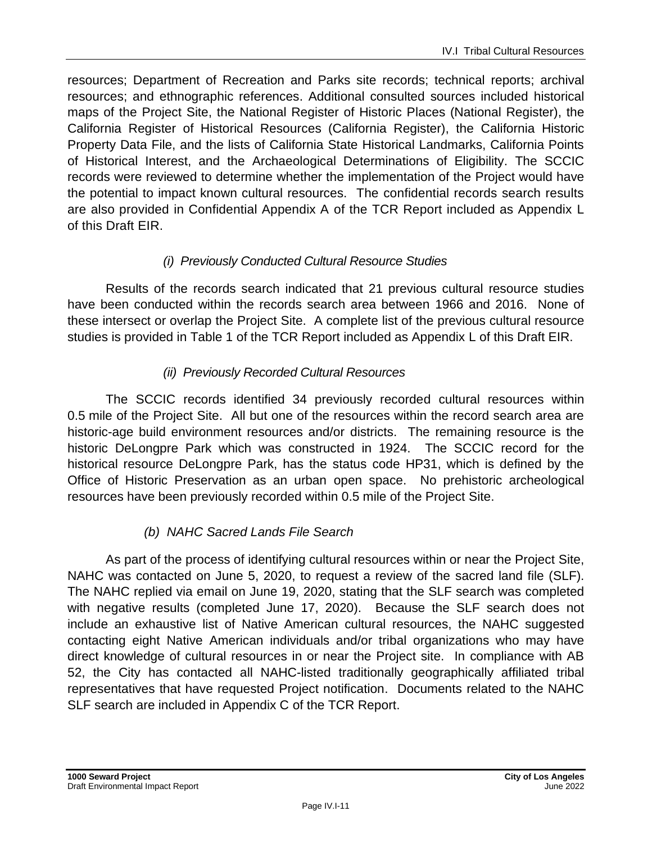resources; Department of Recreation and Parks site records; technical reports; archival resources; and ethnographic references. Additional consulted sources included historical maps of the Project Site, the National Register of Historic Places (National Register), the California Register of Historical Resources (California Register), the California Historic Property Data File, and the lists of California State Historical Landmarks, California Points of Historical Interest, and the Archaeological Determinations of Eligibility. The SCCIC records were reviewed to determine whether the implementation of the Project would have the potential to impact known cultural resources. The confidential records search results are also provided in Confidential Appendix A of the TCR Report included as Appendix L of this Draft EIR.

#### *(i) Previously Conducted Cultural Resource Studies*

Results of the records search indicated that 21 previous cultural resource studies have been conducted within the records search area between 1966 and 2016. None of these intersect or overlap the Project Site. A complete list of the previous cultural resource studies is provided in Table 1 of the TCR Report included as Appendix L of this Draft EIR.

#### *(ii) Previously Recorded Cultural Resources*

The SCCIC records identified 34 previously recorded cultural resources within 0.5 mile of the Project Site. All but one of the resources within the record search area are historic-age build environment resources and/or districts. The remaining resource is the historic DeLongpre Park which was constructed in 1924. The SCCIC record for the historical resource DeLongpre Park, has the status code HP31, which is defined by the Office of Historic Preservation as an urban open space. No prehistoric archeological resources have been previously recorded within 0.5 mile of the Project Site.

### *(b) NAHC Sacred Lands File Search*

As part of the process of identifying cultural resources within or near the Project Site, NAHC was contacted on June 5, 2020, to request a review of the sacred land file (SLF). The NAHC replied via email on June 19, 2020, stating that the SLF search was completed with negative results (completed June 17, 2020). Because the SLF search does not include an exhaustive list of Native American cultural resources, the NAHC suggested contacting eight Native American individuals and/or tribal organizations who may have direct knowledge of cultural resources in or near the Project site. In compliance with AB 52, the City has contacted all NAHC-listed traditionally geographically affiliated tribal representatives that have requested Project notification. Documents related to the NAHC SLF search are included in Appendix C of the TCR Report.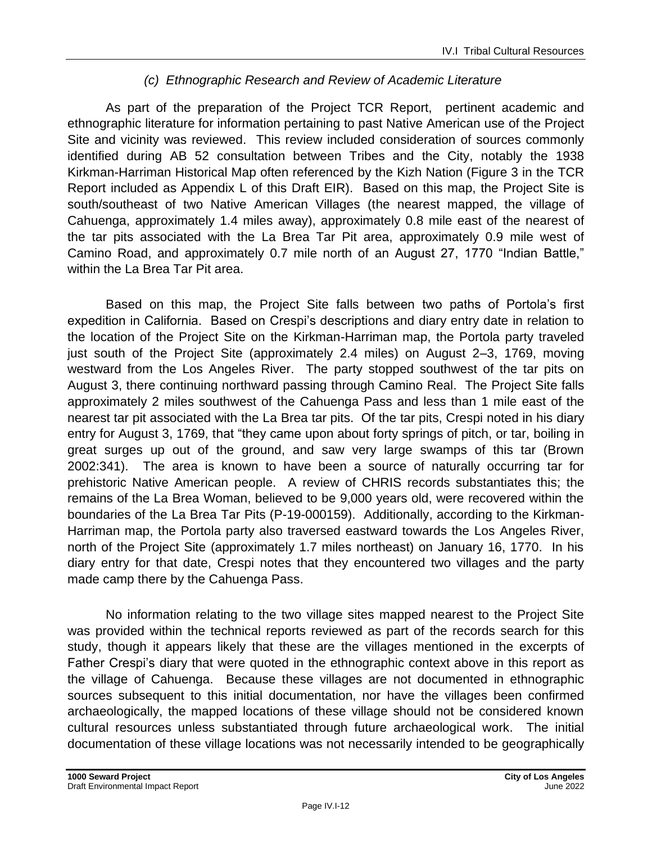#### *(c) Ethnographic Research and Review of Academic Literature*

As part of the preparation of the Project TCR Report, pertinent academic and ethnographic literature for information pertaining to past Native American use of the Project Site and vicinity was reviewed. This review included consideration of sources commonly identified during AB 52 consultation between Tribes and the City, notably the 1938 Kirkman-Harriman Historical Map often referenced by the Kizh Nation (Figure 3 in the TCR Report included as Appendix L of this Draft EIR). Based on this map, the Project Site is south/southeast of two Native American Villages (the nearest mapped, the village of Cahuenga, approximately 1.4 miles away), approximately 0.8 mile east of the nearest of the tar pits associated with the La Brea Tar Pit area, approximately 0.9 mile west of Camino Road, and approximately 0.7 mile north of an August 27, 1770 "Indian Battle," within the La Brea Tar Pit area.

Based on this map, the Project Site falls between two paths of Portola's first expedition in California. Based on Crespi's descriptions and diary entry date in relation to the location of the Project Site on the Kirkman-Harriman map, the Portola party traveled just south of the Project Site (approximately 2.4 miles) on August 2–3, 1769, moving westward from the Los Angeles River. The party stopped southwest of the tar pits on August 3, there continuing northward passing through Camino Real. The Project Site falls approximately 2 miles southwest of the Cahuenga Pass and less than 1 mile east of the nearest tar pit associated with the La Brea tar pits. Of the tar pits, Crespi noted in his diary entry for August 3, 1769, that "they came upon about forty springs of pitch, or tar, boiling in great surges up out of the ground, and saw very large swamps of this tar (Brown 2002:341). The area is known to have been a source of naturally occurring tar for prehistoric Native American people. A review of CHRIS records substantiates this; the remains of the La Brea Woman, believed to be 9,000 years old, were recovered within the boundaries of the La Brea Tar Pits (P-19-000159). Additionally, according to the Kirkman-Harriman map, the Portola party also traversed eastward towards the Los Angeles River, north of the Project Site (approximately 1.7 miles northeast) on January 16, 1770. In his diary entry for that date, Crespi notes that they encountered two villages and the party made camp there by the Cahuenga Pass.

No information relating to the two village sites mapped nearest to the Project Site was provided within the technical reports reviewed as part of the records search for this study, though it appears likely that these are the villages mentioned in the excerpts of Father Crespi's diary that were quoted in the ethnographic context above in this report as the village of Cahuenga. Because these villages are not documented in ethnographic sources subsequent to this initial documentation, nor have the villages been confirmed archaeologically, the mapped locations of these village should not be considered known cultural resources unless substantiated through future archaeological work. The initial documentation of these village locations was not necessarily intended to be geographically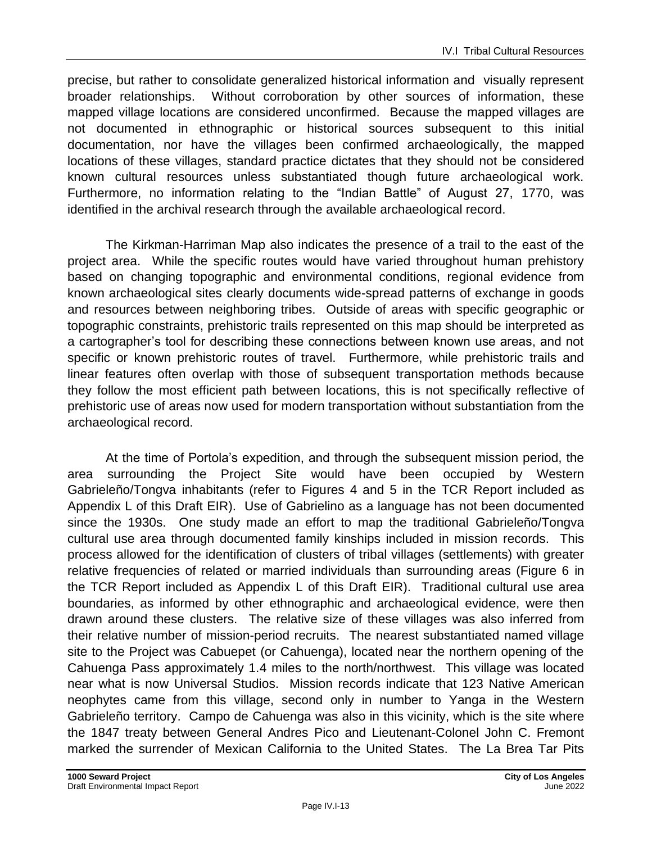precise, but rather to consolidate generalized historical information and visually represent broader relationships. Without corroboration by other sources of information, these mapped village locations are considered unconfirmed. Because the mapped villages are not documented in ethnographic or historical sources subsequent to this initial documentation, nor have the villages been confirmed archaeologically, the mapped locations of these villages, standard practice dictates that they should not be considered known cultural resources unless substantiated though future archaeological work. Furthermore, no information relating to the "Indian Battle" of August 27, 1770, was identified in the archival research through the available archaeological record.

The Kirkman-Harriman Map also indicates the presence of a trail to the east of the project area. While the specific routes would have varied throughout human prehistory based on changing topographic and environmental conditions, regional evidence from known archaeological sites clearly documents wide-spread patterns of exchange in goods and resources between neighboring tribes. Outside of areas with specific geographic or topographic constraints, prehistoric trails represented on this map should be interpreted as a cartographer's tool for describing these connections between known use areas, and not specific or known prehistoric routes of travel. Furthermore, while prehistoric trails and linear features often overlap with those of subsequent transportation methods because they follow the most efficient path between locations, this is not specifically reflective of prehistoric use of areas now used for modern transportation without substantiation from the archaeological record.

At the time of Portola's expedition, and through the subsequent mission period, the area surrounding the Project Site would have been occupied by Western Gabrieleño/Tongva inhabitants (refer to Figures 4 and 5 in the TCR Report included as Appendix L of this Draft EIR). Use of Gabrielino as a language has not been documented since the 1930s. One study made an effort to map the traditional Gabrieleño/Tongva cultural use area through documented family kinships included in mission records. This process allowed for the identification of clusters of tribal villages (settlements) with greater relative frequencies of related or married individuals than surrounding areas (Figure 6 in the TCR Report included as Appendix L of this Draft EIR). Traditional cultural use area boundaries, as informed by other ethnographic and archaeological evidence, were then drawn around these clusters. The relative size of these villages was also inferred from their relative number of mission-period recruits. The nearest substantiated named village site to the Project was Cabuepet (or Cahuenga), located near the northern opening of the Cahuenga Pass approximately 1.4 miles to the north/northwest. This village was located near what is now Universal Studios. Mission records indicate that 123 Native American neophytes came from this village, second only in number to Yanga in the Western Gabrieleño territory. Campo de Cahuenga was also in this vicinity, which is the site where the 1847 treaty between General Andres Pico and Lieutenant-Colonel John C. Fremont marked the surrender of Mexican California to the United States. The La Brea Tar Pits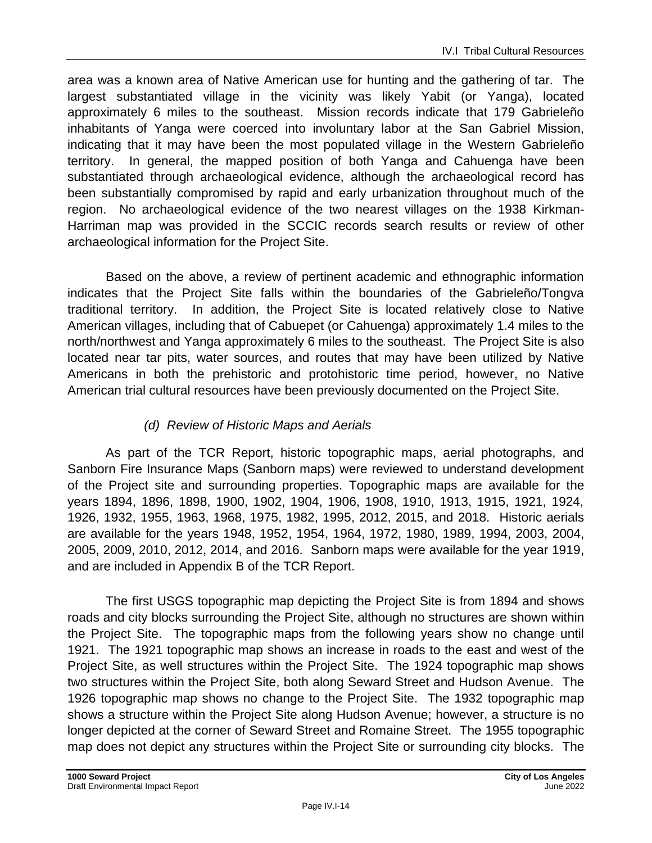area was a known area of Native American use for hunting and the gathering of tar. The largest substantiated village in the vicinity was likely Yabit (or Yanga), located approximately 6 miles to the southeast. Mission records indicate that 179 Gabrieleño inhabitants of Yanga were coerced into involuntary labor at the San Gabriel Mission, indicating that it may have been the most populated village in the Western Gabrieleño territory. In general, the mapped position of both Yanga and Cahuenga have been substantiated through archaeological evidence, although the archaeological record has been substantially compromised by rapid and early urbanization throughout much of the region. No archaeological evidence of the two nearest villages on the 1938 Kirkman-Harriman map was provided in the SCCIC records search results or review of other archaeological information for the Project Site.

Based on the above, a review of pertinent academic and ethnographic information indicates that the Project Site falls within the boundaries of the Gabrieleño/Tongva traditional territory. In addition, the Project Site is located relatively close to Native American villages, including that of Cabuepet (or Cahuenga) approximately 1.4 miles to the north/northwest and Yanga approximately 6 miles to the southeast. The Project Site is also located near tar pits, water sources, and routes that may have been utilized by Native Americans in both the prehistoric and protohistoric time period, however, no Native American trial cultural resources have been previously documented on the Project Site.

#### *(d) Review of Historic Maps and Aerials*

As part of the TCR Report, historic topographic maps, aerial photographs, and Sanborn Fire Insurance Maps (Sanborn maps) were reviewed to understand development of the Project site and surrounding properties. Topographic maps are available for the years 1894, 1896, 1898, 1900, 1902, 1904, 1906, 1908, 1910, 1913, 1915, 1921, 1924, 1926, 1932, 1955, 1963, 1968, 1975, 1982, 1995, 2012, 2015, and 2018. Historic aerials are available for the years 1948, 1952, 1954, 1964, 1972, 1980, 1989, 1994, 2003, 2004, 2005, 2009, 2010, 2012, 2014, and 2016. Sanborn maps were available for the year 1919, and are included in Appendix B of the TCR Report.

The first USGS topographic map depicting the Project Site is from 1894 and shows roads and city blocks surrounding the Project Site, although no structures are shown within the Project Site. The topographic maps from the following years show no change until 1921. The 1921 topographic map shows an increase in roads to the east and west of the Project Site, as well structures within the Project Site. The 1924 topographic map shows two structures within the Project Site, both along Seward Street and Hudson Avenue. The 1926 topographic map shows no change to the Project Site. The 1932 topographic map shows a structure within the Project Site along Hudson Avenue; however, a structure is no longer depicted at the corner of Seward Street and Romaine Street. The 1955 topographic map does not depict any structures within the Project Site or surrounding city blocks. The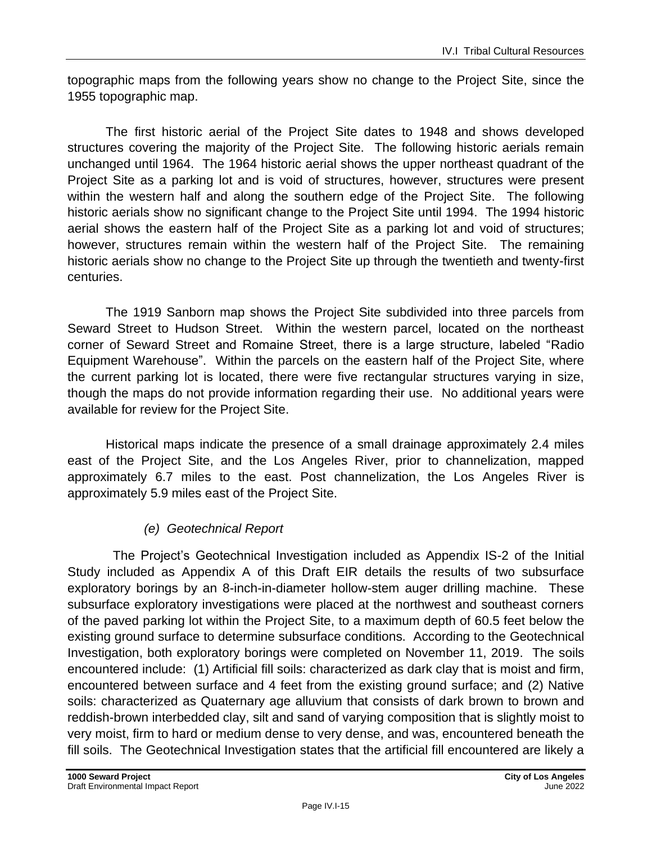topographic maps from the following years show no change to the Project Site, since the 1955 topographic map.

The first historic aerial of the Project Site dates to 1948 and shows developed structures covering the majority of the Project Site. The following historic aerials remain unchanged until 1964. The 1964 historic aerial shows the upper northeast quadrant of the Project Site as a parking lot and is void of structures, however, structures were present within the western half and along the southern edge of the Project Site. The following historic aerials show no significant change to the Project Site until 1994. The 1994 historic aerial shows the eastern half of the Project Site as a parking lot and void of structures; however, structures remain within the western half of the Project Site. The remaining historic aerials show no change to the Project Site up through the twentieth and twenty-first centuries.

The 1919 Sanborn map shows the Project Site subdivided into three parcels from Seward Street to Hudson Street. Within the western parcel, located on the northeast corner of Seward Street and Romaine Street, there is a large structure, labeled "Radio Equipment Warehouse". Within the parcels on the eastern half of the Project Site, where the current parking lot is located, there were five rectangular structures varying in size, though the maps do not provide information regarding their use. No additional years were available for review for the Project Site.

Historical maps indicate the presence of a small drainage approximately 2.4 miles east of the Project Site, and the Los Angeles River, prior to channelization, mapped approximately 6.7 miles to the east. Post channelization, the Los Angeles River is approximately 5.9 miles east of the Project Site.

#### *(e) Geotechnical Report*

The Project's Geotechnical Investigation included as Appendix IS-2 of the Initial Study included as Appendix A of this Draft EIR details the results of two subsurface exploratory borings by an 8-inch-in-diameter hollow-stem auger drilling machine. These subsurface exploratory investigations were placed at the northwest and southeast corners of the paved parking lot within the Project Site, to a maximum depth of 60.5 feet below the existing ground surface to determine subsurface conditions. According to the Geotechnical Investigation, both exploratory borings were completed on November 11, 2019. The soils encountered include: (1) Artificial fill soils: characterized as dark clay that is moist and firm, encountered between surface and 4 feet from the existing ground surface; and (2) Native soils: characterized as Quaternary age alluvium that consists of dark brown to brown and reddish-brown interbedded clay, silt and sand of varying composition that is slightly moist to very moist, firm to hard or medium dense to very dense, and was, encountered beneath the fill soils. The Geotechnical Investigation states that the artificial fill encountered are likely a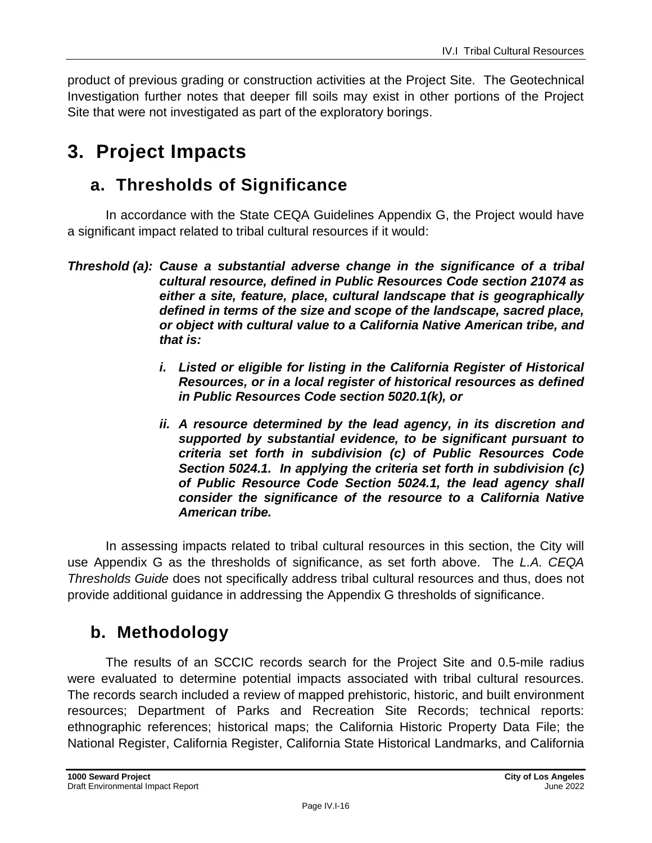product of previous grading or construction activities at the Project Site. The Geotechnical Investigation further notes that deeper fill soils may exist in other portions of the Project Site that were not investigated as part of the exploratory borings.

# **3. Project Impacts**

# **a. Thresholds of Significance**

In accordance with the State CEQA Guidelines Appendix G, the Project would have a significant impact related to tribal cultural resources if it would:

- *i. Listed or eligible for listing in the California Register of Historical Resources, or in a local register of historical resources as defined in Public Resources Code section 5020.1(k), or*
- *ii. A resource determined by the lead agency, in its discretion and supported by substantial evidence, to be significant pursuant to criteria set forth in subdivision (c) of Public Resources Code Section 5024.1. In applying the criteria set forth in subdivision (c) of Public Resource Code Section 5024.1, the lead agency shall consider the significance of the resource to a California Native American tribe.*

In assessing impacts related to tribal cultural resources in this section, the City will use Appendix G as the thresholds of significance, as set forth above. The *L.A. CEQA Thresholds Guide* does not specifically address tribal cultural resources and thus, does not provide additional guidance in addressing the Appendix G thresholds of significance.

# **b. Methodology**

The results of an SCCIC records search for the Project Site and 0.5-mile radius were evaluated to determine potential impacts associated with tribal cultural resources. The records search included a review of mapped prehistoric, historic, and built environment resources; Department of Parks and Recreation Site Records; technical reports: ethnographic references; historical maps; the California Historic Property Data File; the National Register, California Register, California State Historical Landmarks, and California

*Threshold (a): Cause a substantial adverse change in the significance of a tribal cultural resource, defined in Public Resources Code section 21074 as either a site, feature, place, cultural landscape that is geographically defined in terms of the size and scope of the landscape, sacred place, or object with cultural value to a California Native American tribe, and that is:*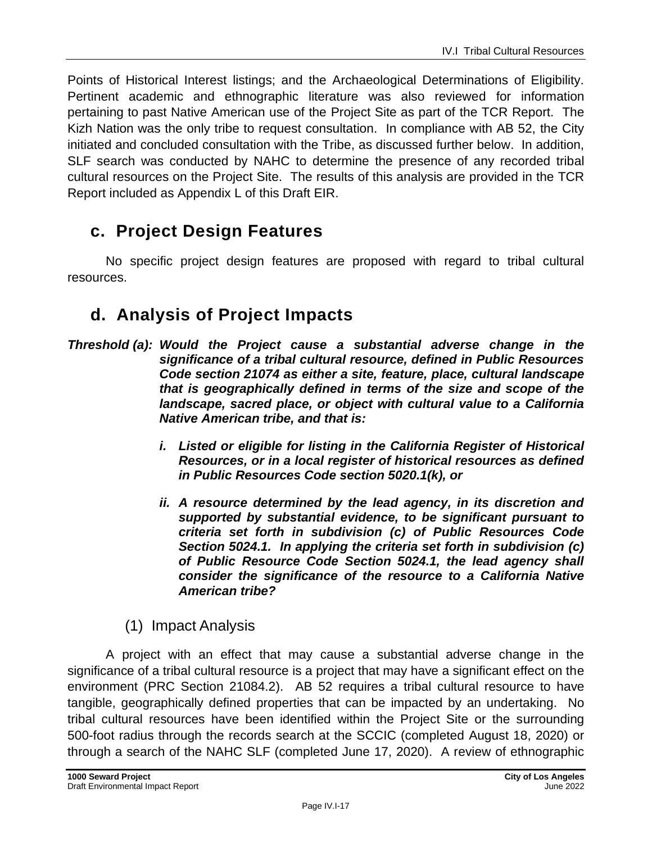Points of Historical Interest listings; and the Archaeological Determinations of Eligibility. Pertinent academic and ethnographic literature was also reviewed for information pertaining to past Native American use of the Project Site as part of the TCR Report. The Kizh Nation was the only tribe to request consultation. In compliance with AB 52, the City initiated and concluded consultation with the Tribe, as discussed further below. In addition, SLF search was conducted by NAHC to determine the presence of any recorded tribal cultural resources on the Project Site. The results of this analysis are provided in the TCR Report included as Appendix L of this Draft EIR.

# **c. Project Design Features**

No specific project design features are proposed with regard to tribal cultural resources.

# **d. Analysis of Project Impacts**

- *Threshold (a): Would the Project cause a substantial adverse change in the significance of a tribal cultural resource, defined in Public Resources Code section 21074 as either a site, feature, place, cultural landscape that is geographically defined in terms of the size and scope of the landscape, sacred place, or object with cultural value to a California Native American tribe, and that is:*
	- *i. Listed or eligible for listing in the California Register of Historical Resources, or in a local register of historical resources as defined in Public Resources Code section 5020.1(k), or*
	- *ii. A resource determined by the lead agency, in its discretion and supported by substantial evidence, to be significant pursuant to criteria set forth in subdivision (c) of Public Resources Code Section 5024.1. In applying the criteria set forth in subdivision (c) of Public Resource Code Section 5024.1, the lead agency shall consider the significance of the resource to a California Native American tribe?*

### (1) Impact Analysis

A project with an effect that may cause a substantial adverse change in the significance of a tribal cultural resource is a project that may have a significant effect on the environment (PRC Section 21084.2). AB 52 requires a tribal cultural resource to have tangible, geographically defined properties that can be impacted by an undertaking. No tribal cultural resources have been identified within the Project Site or the surrounding 500-foot radius through the records search at the SCCIC (completed August 18, 2020) or through a search of the NAHC SLF (completed June 17, 2020). A review of ethnographic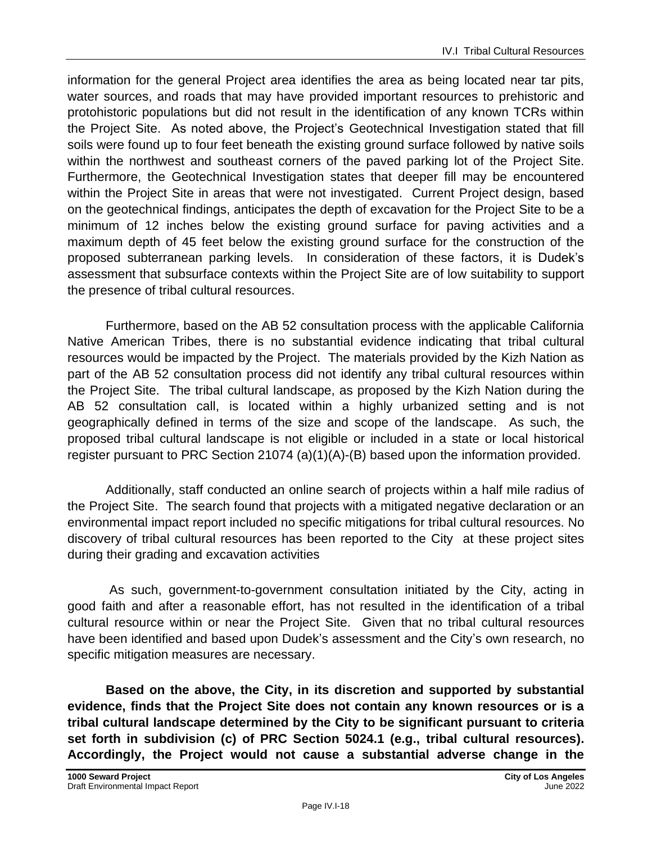information for the general Project area identifies the area as being located near tar pits, water sources, and roads that may have provided important resources to prehistoric and protohistoric populations but did not result in the identification of any known TCRs within the Project Site. As noted above, the Project's Geotechnical Investigation stated that fill soils were found up to four feet beneath the existing ground surface followed by native soils within the northwest and southeast corners of the paved parking lot of the Project Site. Furthermore, the Geotechnical Investigation states that deeper fill may be encountered within the Project Site in areas that were not investigated. Current Project design, based on the geotechnical findings, anticipates the depth of excavation for the Project Site to be a minimum of 12 inches below the existing ground surface for paving activities and a maximum depth of 45 feet below the existing ground surface for the construction of the proposed subterranean parking levels. In consideration of these factors, it is Dudek's assessment that subsurface contexts within the Project Site are of low suitability to support the presence of tribal cultural resources.

Furthermore, based on the AB 52 consultation process with the applicable California Native American Tribes, there is no substantial evidence indicating that tribal cultural resources would be impacted by the Project. The materials provided by the Kizh Nation as part of the AB 52 consultation process did not identify any tribal cultural resources within the Project Site. The tribal cultural landscape, as proposed by the Kizh Nation during the AB 52 consultation call, is located within a highly urbanized setting and is not geographically defined in terms of the size and scope of the landscape. As such, the proposed tribal cultural landscape is not eligible or included in a state or local historical register pursuant to PRC Section 21074 (a)(1)(A)-(B) based upon the information provided.

Additionally, staff conducted an online search of projects within a half mile radius of the Project Site. The search found that projects with a mitigated negative declaration or an environmental impact report included no specific mitigations for tribal cultural resources. No discovery of tribal cultural resources has been reported to the City at these project sites during their grading and excavation activities

As such, government-to-government consultation initiated by the City, acting in good faith and after a reasonable effort, has not resulted in the identification of a tribal cultural resource within or near the Project Site. Given that no tribal cultural resources have been identified and based upon Dudek's assessment and the City's own research, no specific mitigation measures are necessary.

**Based on the above, the City, in its discretion and supported by substantial evidence, finds that the Project Site does not contain any known resources or is a tribal cultural landscape determined by the City to be significant pursuant to criteria set forth in subdivision (c) of PRC Section 5024.1 (e.g., tribal cultural resources). Accordingly, the Project would not cause a substantial adverse change in the**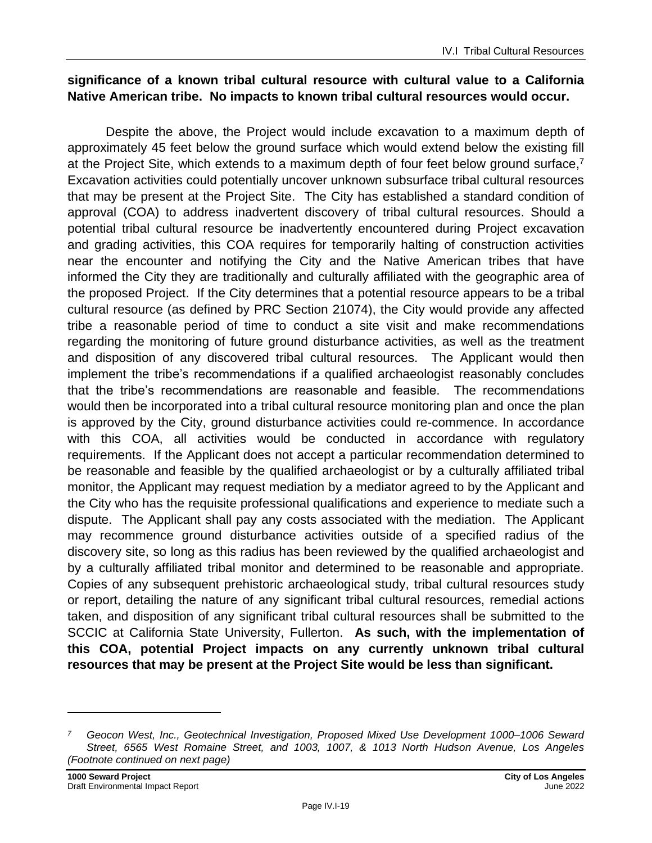#### **significance of a known tribal cultural resource with cultural value to a California Native American tribe. No impacts to known tribal cultural resources would occur.**

Despite the above, the Project would include excavation to a maximum depth of approximately 45 feet below the ground surface which would extend below the existing fill at the Project Site, which extends to a maximum depth of four feet below ground surface,<sup>7</sup> Excavation activities could potentially uncover unknown subsurface tribal cultural resources that may be present at the Project Site. The City has established a standard condition of approval (COA) to address inadvertent discovery of tribal cultural resources. Should a potential tribal cultural resource be inadvertently encountered during Project excavation and grading activities, this COA requires for temporarily halting of construction activities near the encounter and notifying the City and the Native American tribes that have informed the City they are traditionally and culturally affiliated with the geographic area of the proposed Project. If the City determines that a potential resource appears to be a tribal cultural resource (as defined by PRC Section 21074), the City would provide any affected tribe a reasonable period of time to conduct a site visit and make recommendations regarding the monitoring of future ground disturbance activities, as well as the treatment and disposition of any discovered tribal cultural resources. The Applicant would then implement the tribe's recommendations if a qualified archaeologist reasonably concludes that the tribe's recommendations are reasonable and feasible. The recommendations would then be incorporated into a tribal cultural resource monitoring plan and once the plan is approved by the City, ground disturbance activities could re-commence. In accordance with this COA, all activities would be conducted in accordance with regulatory requirements. If the Applicant does not accept a particular recommendation determined to be reasonable and feasible by the qualified archaeologist or by a culturally affiliated tribal monitor, the Applicant may request mediation by a mediator agreed to by the Applicant and the City who has the requisite professional qualifications and experience to mediate such a dispute. The Applicant shall pay any costs associated with the mediation. The Applicant may recommence ground disturbance activities outside of a specified radius of the discovery site, so long as this radius has been reviewed by the qualified archaeologist and by a culturally affiliated tribal monitor and determined to be reasonable and appropriate. Copies of any subsequent prehistoric archaeological study, tribal cultural resources study or report, detailing the nature of any significant tribal cultural resources, remedial actions taken, and disposition of any significant tribal cultural resources shall be submitted to the SCCIC at California State University, Fullerton. **As such, with the implementation of this COA, potential Project impacts on any currently unknown tribal cultural resources that may be present at the Project Site would be less than significant.**

*<sup>7</sup> Geocon West, Inc., Geotechnical Investigation, Proposed Mixed Use Development 1000–1006 Seward Street, 6565 West Romaine Street, and 1003, 1007, & 1013 North Hudson Avenue, Los Angeles (Footnote continued on next page)*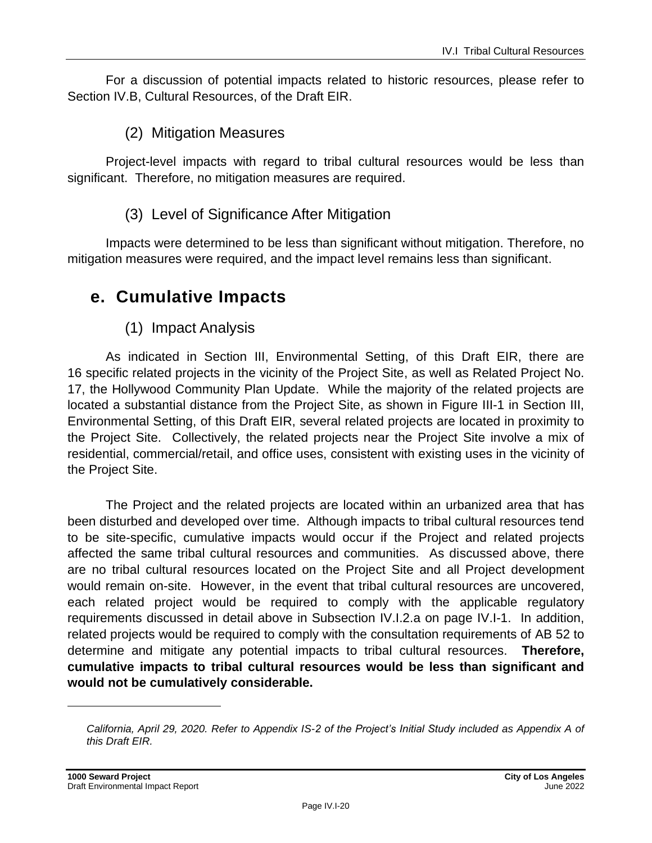For a discussion of potential impacts related to historic resources, please refer to Section IV.B, Cultural Resources, of the Draft EIR.

### (2) Mitigation Measures

Project-level impacts with regard to tribal cultural resources would be less than significant. Therefore, no mitigation measures are required.

#### (3) Level of Significance After Mitigation

Impacts were determined to be less than significant without mitigation. Therefore, no mitigation measures were required, and the impact level remains less than significant.

## **e. Cumulative Impacts**

(1) Impact Analysis

As indicated in Section III, Environmental Setting, of this Draft EIR, there are 16 specific related projects in the vicinity of the Project Site, as well as Related Project No. 17, the Hollywood Community Plan Update. While the majority of the related projects are located a substantial distance from the Project Site, as shown in Figure III-1 in Section III, Environmental Setting, of this Draft EIR, several related projects are located in proximity to the Project Site. Collectively, the related projects near the Project Site involve a mix of residential, commercial/retail, and office uses, consistent with existing uses in the vicinity of the Project Site.

The Project and the related projects are located within an urbanized area that has been disturbed and developed over time. Although impacts to tribal cultural resources tend to be site-specific, cumulative impacts would occur if the Project and related projects affected the same tribal cultural resources and communities. As discussed above, there are no tribal cultural resources located on the Project Site and all Project development would remain on-site. However, in the event that tribal cultural resources are uncovered, each related project would be required to comply with the applicable regulatory requirements discussed in detail above in Subsection IV.I.2.a on page IV.I-1. In addition, related projects would be required to comply with the consultation requirements of AB 52 to determine and mitigate any potential impacts to tribal cultural resources. **Therefore, cumulative impacts to tribal cultural resources would be less than significant and would not be cumulatively considerable.**

*California, April 29, 2020. Refer to Appendix IS-2 of the Project's Initial Study included as Appendix A of this Draft EIR.*